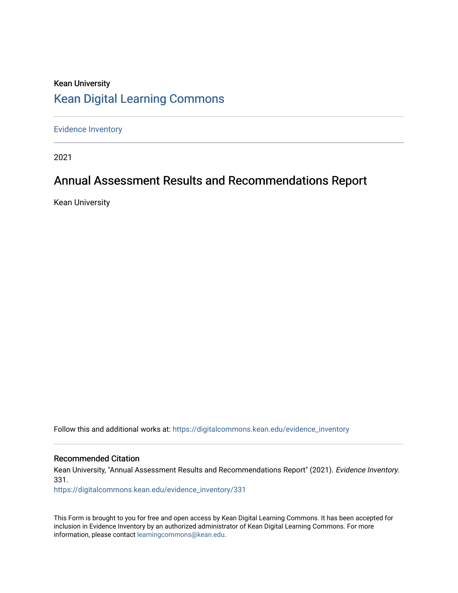## Kean University [Kean Digital Learning Commons](https://digitalcommons.kean.edu/)

[Evidence Inventory](https://digitalcommons.kean.edu/evidence_inventory) 

2021

# Annual Assessment Results and Recommendations Report

Kean University

Follow this and additional works at: [https://digitalcommons.kean.edu/evidence\\_inventory](https://digitalcommons.kean.edu/evidence_inventory?utm_source=digitalcommons.kean.edu%2Fevidence_inventory%2F331&utm_medium=PDF&utm_campaign=PDFCoverPages)

#### Recommended Citation

Kean University, "Annual Assessment Results and Recommendations Report" (2021). Evidence Inventory. 331.

[https://digitalcommons.kean.edu/evidence\\_inventory/331](https://digitalcommons.kean.edu/evidence_inventory/331?utm_source=digitalcommons.kean.edu%2Fevidence_inventory%2F331&utm_medium=PDF&utm_campaign=PDFCoverPages)

This Form is brought to you for free and open access by Kean Digital Learning Commons. It has been accepted for inclusion in Evidence Inventory by an authorized administrator of Kean Digital Learning Commons. For more information, please contact [learningcommons@kean.edu](mailto:learningcommons@kean.edu).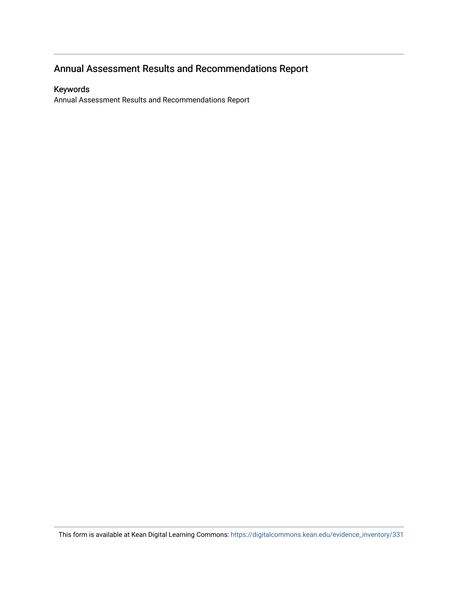## Annual Assessment Results and Recommendations Report

#### Keywords

Annual Assessment Results and Recommendations Report

This form is available at Kean Digital Learning Commons: [https://digitalcommons.kean.edu/evidence\\_inventory/331](https://digitalcommons.kean.edu/evidence_inventory/331)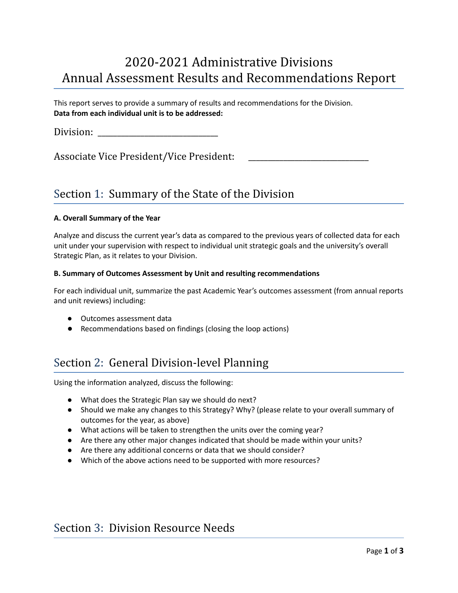# 2020-2021 Administrative Divisions Annual Assessment Results and Recommendations Report

This report serves to provide a summary of results and recommendations for the Division. **Data from each individual unit is to be addressed:**

Division:

Associate Vice President/Vice President:

### Section 1: Summary of the State of the Division

#### **A. Overall Summary of the Year**

Analyze and discuss the current year's data as compared to the previous years of collected data for each unit under your supervision with respect to individual unit strategic goals and the university's overall Strategic Plan, as it relates to your Division.

#### **B. Summary of Outcomes Assessment by Unit and resulting recommendations**

For each individual unit, summarize the past Academic Year's outcomes assessment (from annual reports and unit reviews) including:

- **●** Outcomes assessment data
- **●** Recommendations based on findings (closing the loop actions)

### Section 2: General Division-level Planning

Using the information analyzed, discuss the following:

- What does the Strategic Plan say we should do next?
- Should we make any changes to this Strategy? Why? (please relate to your overall summary of outcomes for the year, as above)
- What actions will be taken to strengthen the units over the coming year?
- Are there any other major changes indicated that should be made within your units?
- Are there any additional concerns or data that we should consider?
- Which of the above actions need to be supported with more resources?

### Section 3: Division Resource Needs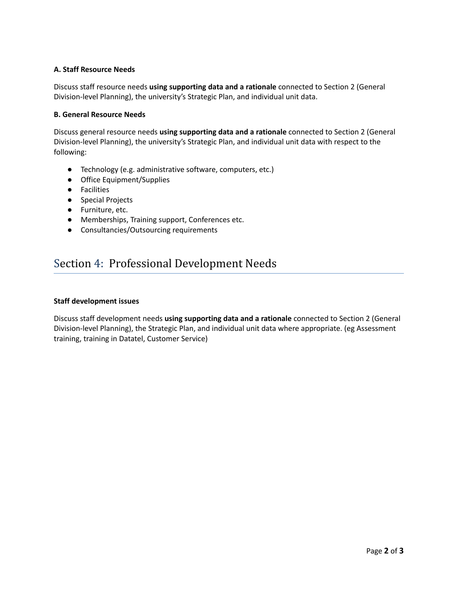#### **A. Staff Resource Needs**

Discuss staff resource needs **using supporting data and a rationale** connected to Section 2 (General Division-level Planning), the university's Strategic Plan, and individual unit data.

#### **B. General Resource Needs**

Discuss general resource needs **using supporting data and a rationale** connected to Section 2 (General Division-level Planning), the university's Strategic Plan, and individual unit data with respect to the following:

- Technology (e.g. administrative software, computers, etc.)
- Office Equipment/Supplies
- Facilities
- Special Projects
- Furniture, etc.
- Memberships, Training support, Conferences etc.
- Consultancies/Outsourcing requirements

### Section 4: Professional Development Needs

#### **Staff development issues**

Discuss staff development needs **using supporting data and a rationale** connected to Section 2 (General Division-level Planning), the Strategic Plan, and individual unit data where appropriate. (eg Assessment training, training in Datatel, Customer Service)